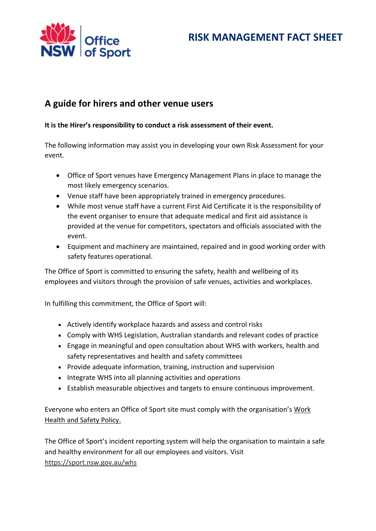



## **A guide for hirers and other venue users**

### **It is the Hirer's responsibility to conduct a risk assessment of their event.**

The following information may assist you in developing your own Risk Assessment for your event.

- Office of Sport venues have Emergency Management Plans in place to manage the most likely emergency scenarios.
- Venue staff have been appropriately trained in emergency procedures.
- While most venue staff have a current First Aid Certificate it is the responsibility of the event organiser to ensure that adequate medical and first aid assistance is provided at the venue for competitors, spectators and officials associated with the event.
- Equipment and machinery are maintained, repaired and in good working order with safety features operational.

The Office of Sport is committed to ensuring the safety, health and wellbeing of its employees and visitors through the provision of safe venues, activities and workplaces.

In fulfilling this commitment, the Office of Sport will:

- Actively identify workplace hazards and assess and control risks
- Comply with WHS Legislation, Australian standards and relevant codes of practice
- Engage in meaningful and open consultation about WHS with workers, health and safety representatives and health and safety committees
- Provide adequate information, training, instruction and supervision
- Integrate WHS into all planning activities and operations
- Establish measurable objectives and targets to ensure continuous improvement.

Everyone who enters an Office of Sport site must comply with the organisation's [Work](https://regattacentre.nsw.gov.au/whs/policy)  [Health and Safety Policy.](https://regattacentre.nsw.gov.au/whs/policy)

The Office of Sport's incident reporting system will help the organisation to maintain a safe and healthy environment for all our employees and visitors. Visit <https://sport.nsw.gov.au/whs>